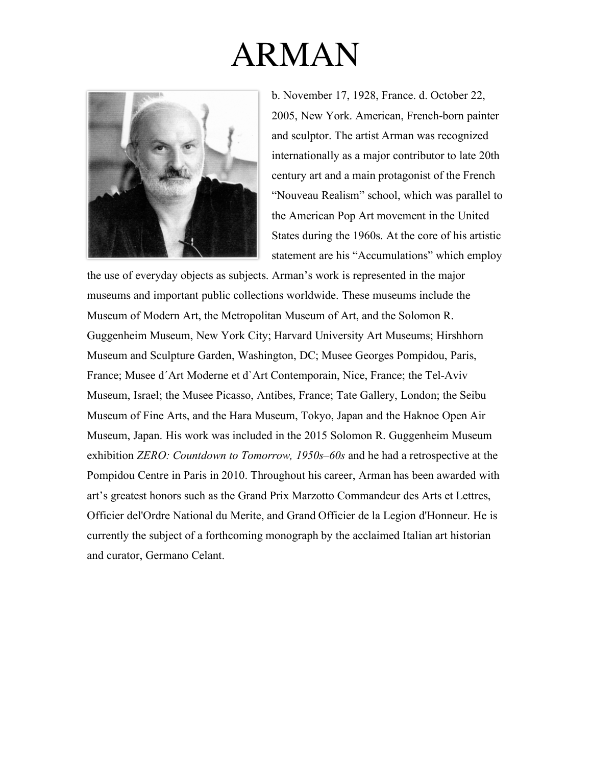

b. November 17, 1928, France. d. October 22, 2005, New York. American, French-born painter and sculptor. The artist Arman was recognized internationally as a major contributor to late 20th century art and a main protagonist of the French "Nouveau Realism" school, which was parallel to the American Pop Art movement in the United States during the 1960s. At the core of his artistic statement are his "Accumulations" which employ

the use of everyday objects as subjects. Arman's work is represented in the major museums and important public collections worldwide. These museums include the Museum of Modern Art, the Metropolitan Museum of Art, and the Solomon R. Guggenheim Museum, New York City; Harvard University Art Museums; Hirshhorn Museum and Sculpture Garden, Washington, DC; Musee Georges Pompidou, Paris, France; Musee d´Art Moderne et d`Art Contemporain, Nice, France; the Tel-Aviv Museum, Israel; the Musee Picasso, Antibes, France; Tate Gallery, London; the Seibu Museum of Fine Arts, and the Hara Museum, Tokyo, Japan and the Haknoe Open Air Museum, Japan. His work was included in the 2015 Solomon R. Guggenheim Museum exhibition *ZERO: Countdown to Tomorrow, 1950s–60s* and he had a retrospective at the Pompidou Centre in Paris in 2010. Throughout his career, Arman has been awarded with art's greatest honors such as the Grand Prix Marzotto Commandeur des Arts et Lettres, Officier del'Ordre National du Merite, and Grand Officier de la Legion d'Honneur. He is currently the subject of a forthcoming monograph by the acclaimed Italian art historian and curator, Germano Celant.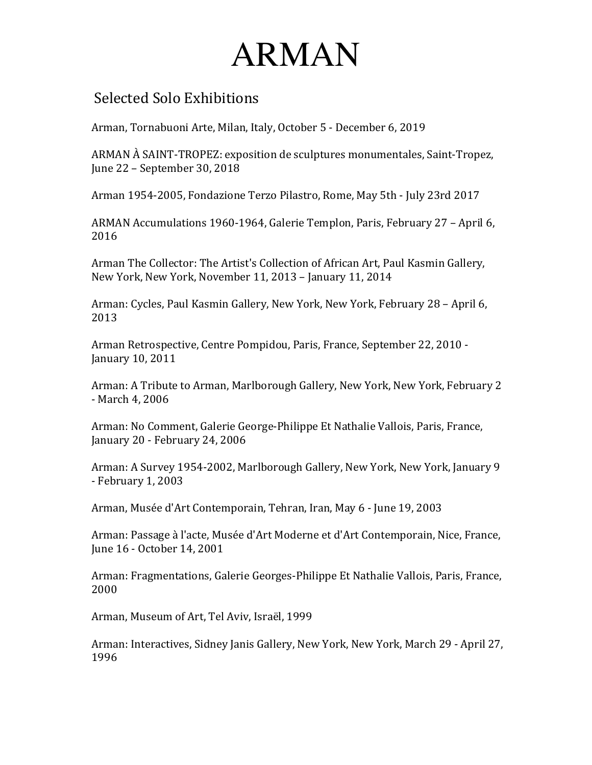#### Selected Solo Exhibitions

Arman, Tornabuoni Arte, Milan, Italy, October 5 - December 6, 2019

ARMAN A SAINT-TROPEZ: exposition de sculptures monumentales, Saint-Tropez, June 22 - September 30, 2018

Arman 1954-2005, Fondazione Terzo Pilastro, Rome, May 5th - July 23rd 2017

ARMAN Accumulations 1960-1964, Galerie Templon, Paris, February 27 - April 6, 2016 

Arman The Collector: The Artist's Collection of African Art, Paul Kasmin Gallery, New York, New York, November 11, 2013 - January 11, 2014

Arman: Cycles, Paul Kasmin Gallery, New York, New York, February 28 - April 6, 2013

Arman Retrospective, Centre Pompidou, Paris, France, September 22, 2010 -January 10, 2011

Arman: A Tribute to Arman, Marlborough Gallery, New York, New York, February 2 - March 4, 2006

Arman: No Comment, Galerie George-Philippe Et Nathalie Vallois, Paris, France, January 20 - February 24, 2006

Arman: A Survey 1954-2002, Marlborough Gallery, New York, New York, January 9 - February 1, 2003

Arman, Musée d'Art Contemporain, Tehran, Iran, May 6 - June 19, 2003

Arman: Passage à l'acte, Musée d'Art Moderne et d'Art Contemporain, Nice, France, June 16 - October 14, 2001

Arman: Fragmentations, Galerie Georges-Philippe Et Nathalie Vallois, Paris, France, 2000

Arman, Museum of Art, Tel Aviv, Israël, 1999

Arman: Interactives, Sidney Janis Gallery, New York, New York, March 29 - April 27, 1996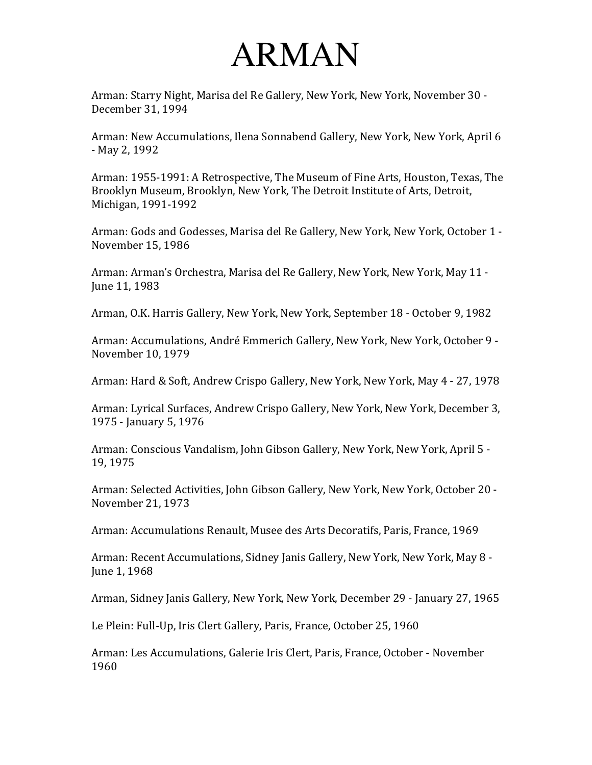Arman: Starry Night, Marisa del Re Gallery, New York, New York, November 30 -December 31, 1994

Arman: New Accumulations, Ilena Sonnabend Gallery, New York, New York, April 6 - May 2, 1992

Arman: 1955-1991: A Retrospective, The Museum of Fine Arts, Houston, Texas, The Brooklyn Museum, Brooklyn, New York, The Detroit Institute of Arts, Detroit, Michigan, 1991-1992

Arman: Gods and Godesses, Marisa del Re Gallery, New York, New York, October 1 -November 15, 1986

Arman: Arman's Orchestra, Marisa del Re Gallery, New York, New York, May 11 -June 11, 1983

Arman, O.K. Harris Gallery, New York, New York, September 18 - October 9, 1982

Arman: Accumulations, André Emmerich Gallery, New York, New York, October 9 -November 10, 1979

Arman: Hard & Soft, Andrew Crispo Gallery, New York, New York, May 4 - 27, 1978

Arman: Lyrical Surfaces, Andrew Crispo Gallery, New York, New York, December 3, 1975 - January 5, 1976

Arman: Conscious Vandalism, John Gibson Gallery, New York, New York, April 5 -19, 1975 

Arman: Selected Activities, John Gibson Gallery, New York, New York, October 20 -November 21, 1973

Arman: Accumulations Renault, Musee des Arts Decoratifs, Paris, France, 1969

Arman: Recent Accumulations, Sidney Janis Gallery, New York, New York, May 8 -June 1, 1968

Arman, Sidney Janis Gallery, New York, New York, December 29 - January 27, 1965

Le Plein: Full-Up, Iris Clert Gallery, Paris, France, October 25, 1960

Arman: Les Accumulations, Galerie Iris Clert, Paris, France, October - November 1960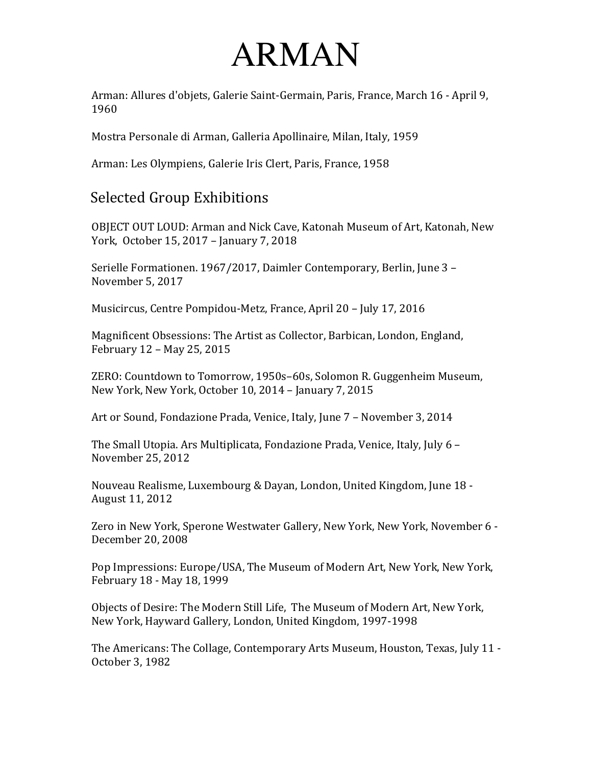Arman: Allures d'objets, Galerie Saint-Germain, Paris, France, March 16 - April 9, 1960 

Mostra Personale di Arman, Galleria Apollinaire, Milan, Italy, 1959

Arman: Les Olympiens, Galerie Iris Clert, Paris, France, 1958

#### Selected Group Exhibitions

OBJECT OUT LOUD: Arman and Nick Cave, Katonah Museum of Art, Katonah, New York, October 15, 2017 - January 7, 2018

Serielle Formationen. 1967/2017, Daimler Contemporary, Berlin, June 3 -November 5, 2017

Musicircus, Centre Pompidou-Metz, France, April 20 - July 17, 2016

Magnificent Obsessions: The Artist as Collector, Barbican, London, England, February 12 - May 25, 2015

ZERO: Countdown to Tomorrow, 1950s-60s, Solomon R. Guggenheim Museum, New York, New York, October 10, 2014 - January 7, 2015

Art or Sound, Fondazione Prada, Venice, Italy, June 7 - November 3, 2014

The Small Utopia. Ars Multiplicata, Fondazione Prada, Venice, Italy, July 6 -November 25, 2012 

Nouveau Realisme, Luxembourg & Dayan, London, United Kingdom, June 18 -August 11, 2012

Zero in New York, Sperone Westwater Gallery, New York, New York, November 6 -December 20, 2008

Pop Impressions: Europe/USA, The Museum of Modern Art, New York, New York, February 18 - May 18, 1999

Objects of Desire: The Modern Still Life, The Museum of Modern Art, New York, New York, Hayward Gallery, London, United Kingdom, 1997-1998

The Americans: The Collage, Contemporary Arts Museum, Houston, Texas, July 11 -October 3, 1982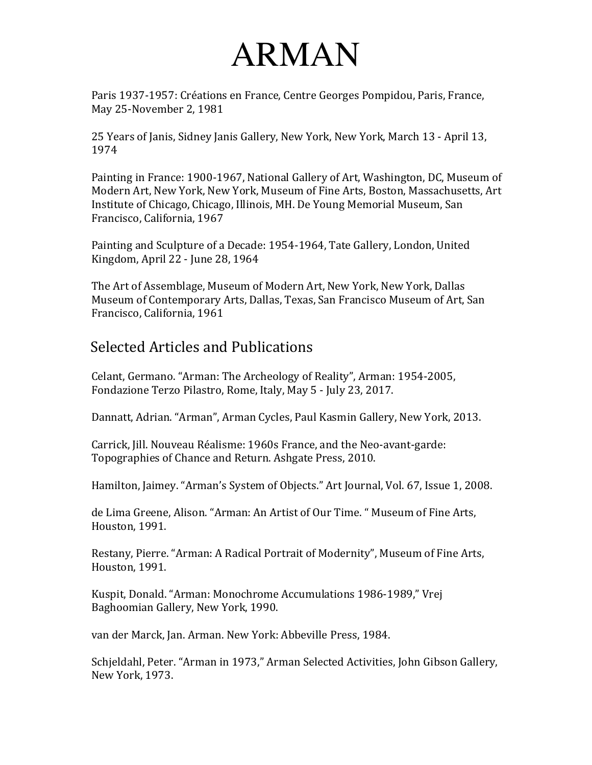Paris 1937-1957: Créations en France, Centre Georges Pompidou, Paris, France, May 25-November 2, 1981

25 Years of Janis, Sidney Janis Gallery, New York, New York, March 13 - April 13, 1974 

Painting in France: 1900-1967, National Gallery of Art, Washington, DC, Museum of Modern Art, New York, New York, Museum of Fine Arts, Boston, Massachusetts, Art Institute of Chicago, Chicago, Illinois, MH. De Young Memorial Museum, San Francisco, California, 1967

Painting and Sculpture of a Decade: 1954-1964, Tate Gallery, London, United Kingdom, April 22 - June 28, 1964

The Art of Assemblage, Museum of Modern Art, New York, New York, Dallas Museum of Contemporary Arts, Dallas, Texas, San Francisco Museum of Art, San Francisco, California, 1961

#### Selected Articles and Publications

Celant, Germano. "Arman: The Archeology of Reality", Arman: 1954-2005, Fondazione Terzo Pilastro, Rome, Italy, May 5 - July 23, 2017.

Dannatt, Adrian. "Arman", Arman Cycles, Paul Kasmin Gallery, New York, 2013.

Carrick, Jill. Nouveau Réalisme: 1960s France, and the Neo-avant-garde: Topographies of Chance and Return. Ashgate Press, 2010.

Hamilton, Jaimey. "Arman's System of Objects." Art Journal, Vol. 67, Issue 1, 2008.

de Lima Greene, Alison. "Arman: An Artist of Our Time. " Museum of Fine Arts, Houston, 1991.

Restany, Pierre. "Arman: A Radical Portrait of Modernity", Museum of Fine Arts, Houston, 1991.

Kuspit, Donald. "Arman: Monochrome Accumulations 1986-1989," Vrej Baghoomian Gallery, New York, 1990.

van der Marck, Jan. Arman. New York: Abbeville Press, 1984.

Schjeldahl, Peter. "Arman in 1973," Arman Selected Activities, John Gibson Gallery, New York, 1973.